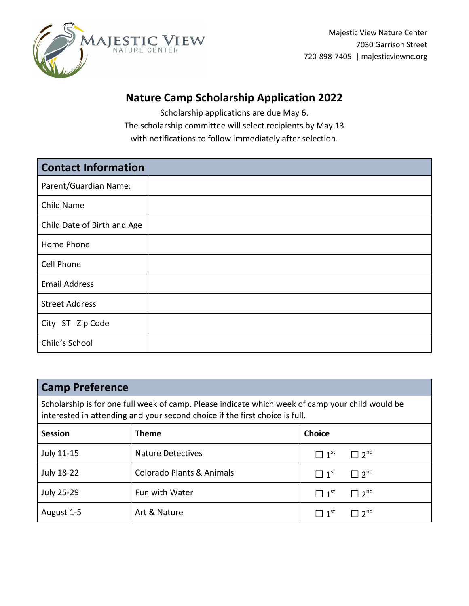

## **Nature Camp Scholarship Application 2022**

Scholarship applications are due May 6. The scholarship committee will select recipients by May 13 with notifications to follow immediately after selection.

| <b>Contact Information</b>  |  |
|-----------------------------|--|
| Parent/Guardian Name:       |  |
| Child Name                  |  |
| Child Date of Birth and Age |  |
| Home Phone                  |  |
| Cell Phone                  |  |
| <b>Email Address</b>        |  |
| <b>Street Address</b>       |  |
| City ST Zip Code            |  |
| Child's School              |  |

### **Camp Preference**

Scholarship is for one full week of camp. Please indicate which week of camp your child would be interested in attending and your second choice if the first choice is full.

| <b>Session</b> | <b>Theme</b>                         | <b>Choice</b>                                 |
|----------------|--------------------------------------|-----------------------------------------------|
| July 11-15     | <b>Nature Detectives</b>             | $\Box$ 1 <sup>st</sup> $\Box$ 2 <sup>nd</sup> |
| July 18-22     | <b>Colorado Plants &amp; Animals</b> | $\Box$ 1 <sup>st</sup> $\Box$ 2 <sup>nd</sup> |
| July 25-29     | Fun with Water                       | $\Box$ 1 <sup>st</sup> $\Box$ 2 <sup>nd</sup> |
| August 1-5     | Art & Nature                         | $\Box$ 1 <sup>st</sup> $\Box$ 2 <sup>nd</sup> |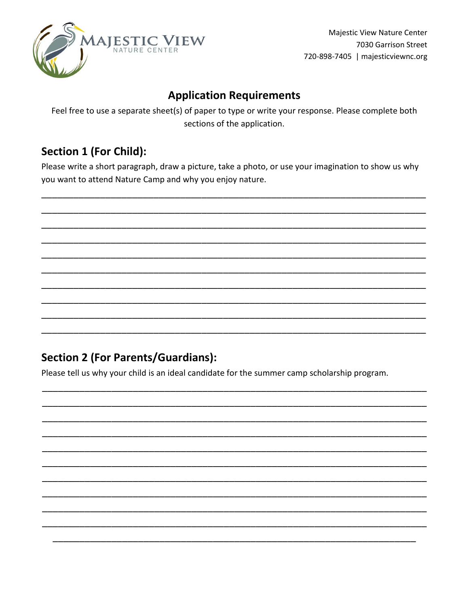

Majestic View Nature Center 7030 Garrison Street 720-898-7405 | majesticviewnc.org

## **Application Requirements**

Feel free to use a separate sheet(s) of paper to type or write your response. Please complete both sections of the application.

## **Section 1 (For Child):**

Please write a short paragraph, draw a picture, take a photo, or use your imagination to show us why you want to attend Nature Camp and why you enjoy nature.

# **Section 2 (For Parents/Guardians):**

Please tell us why your child is an ideal candidate for the summer camp scholarship program.